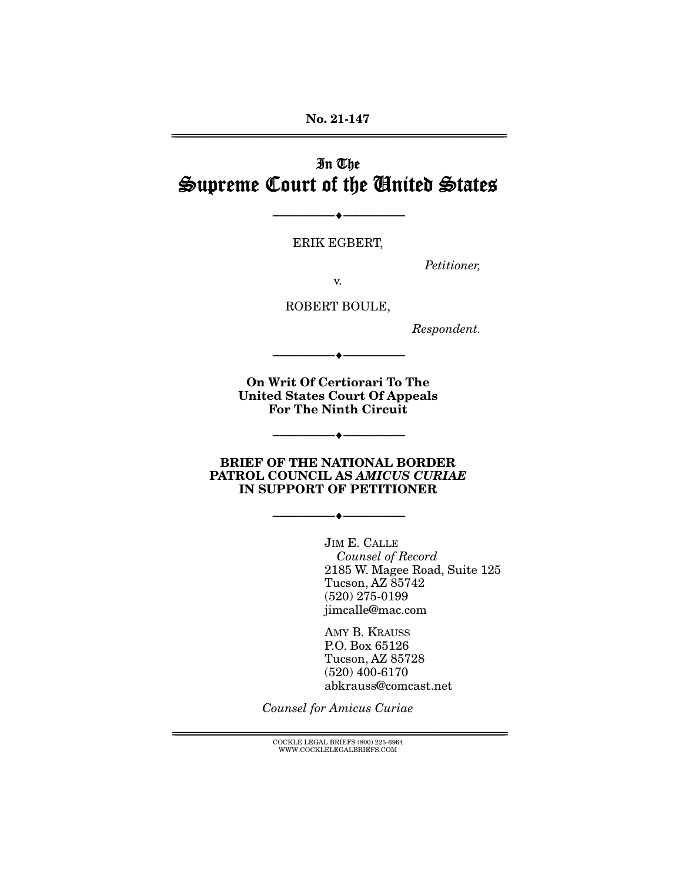**No. 21-147**  ================================================================================================================

# In The Supreme Court of the United States

ERIK EGBERT,

--------------------------------- ♦ ---------------------------------

Petitioner,

v.

ROBERT BOULE,

Respondent.

**On Writ Of Certiorari To The United States Court Of Appeals For The Ninth Circuit** 

--------------------------------- ♦ ---------------------------------

--------------------------------- ♦ ---------------------------------

**BRIEF OF THE NATIONAL BORDER PATROL COUNCIL AS** *AMICUS CURIAE*  **IN SUPPORT OF PETITIONER** 

--------------------------------- ♦ ---------------------------------

JIM E. CALLE Counsel of Record 2185 W. Magee Road, Suite 125 Tucson, AZ 85742 (520) 275-0199 jimcalle@mac.com

AMY B. KRAUSS P.O. Box 65126 Tucson, AZ 85728 (520) 400-6170 abkrauss@comcast.net

Counsel for Amicus Curiae

 $\text{COCKLE LEGAL BRIEFS}$  (800) 225-6964 WWW.COCKLELEGALBRIEFS.COM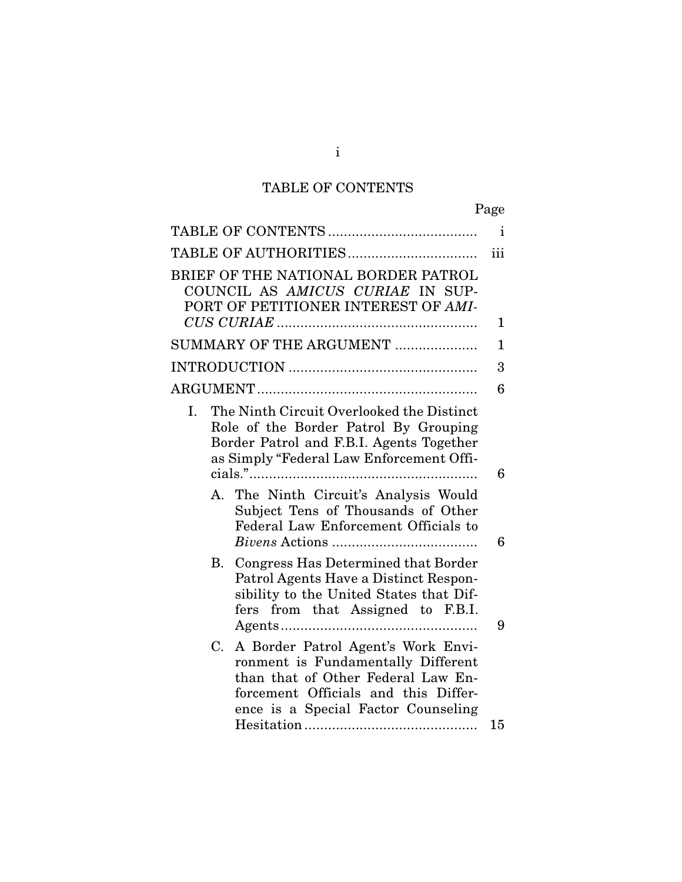# TABLE OF CONTENTS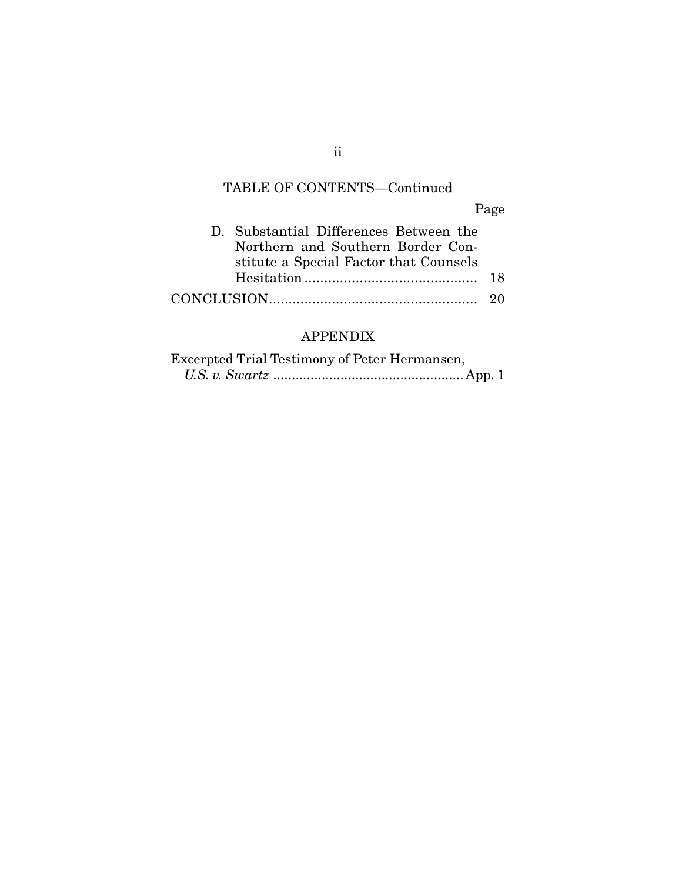# TABLE OF CONTENTS—Continued

Page

|  | D. Substantial Differences Between the |    |
|--|----------------------------------------|----|
|  | Northern and Southern Border Con-      |    |
|  | stitute a Special Factor that Counsels |    |
|  |                                        | 18 |
|  |                                        |    |

### APPENDIX

| Excerpted Trial Testimony of Peter Hermansen, |  |
|-----------------------------------------------|--|
|                                               |  |

ii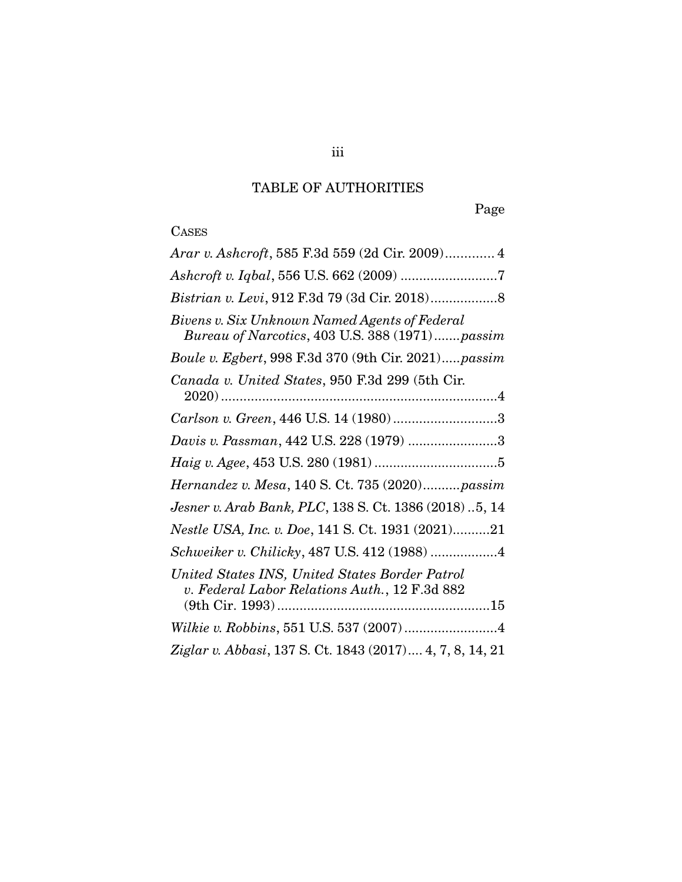# TABLE OF AUTHORITIES

Page

# **CASES**

| Arar v. Ashcroft, 585 F.3d 559 (2d Cir. 2009) 4                                                 |
|-------------------------------------------------------------------------------------------------|
|                                                                                                 |
|                                                                                                 |
| Bivens v. Six Unknown Named Agents of Federal<br>Bureau of Narcotics, 403 U.S. 388 (1971)passim |
| Boule v. Egbert, 998 F.3d 370 (9th Cir. 2021)passim                                             |
| Canada v. United States, 950 F.3d 299 (5th Cir.                                                 |
| Carlson v. Green, 446 U.S. 14 (1980)3                                                           |
| Davis v. Passman, 442 U.S. 228 (1979) 3                                                         |
|                                                                                                 |
| Hernandez v. Mesa, 140 S. Ct. 735 (2020)passim                                                  |
| Jesner v. Arab Bank, PLC, 138 S. Ct. 1386 (2018) 5, 14                                          |
| Nestle USA, Inc. v. Doe, 141 S. Ct. 1931 (2021)21                                               |
| Schweiker v. Chilicky, 487 U.S. 412 (1988) 4                                                    |
| United States INS, United States Border Patrol<br>v. Federal Labor Relations Auth., 12 F.3d 882 |
|                                                                                                 |
| Ziglar v. Abbasi, 137 S. Ct. 1843 (2017) 4, 7, 8, 14, 21                                        |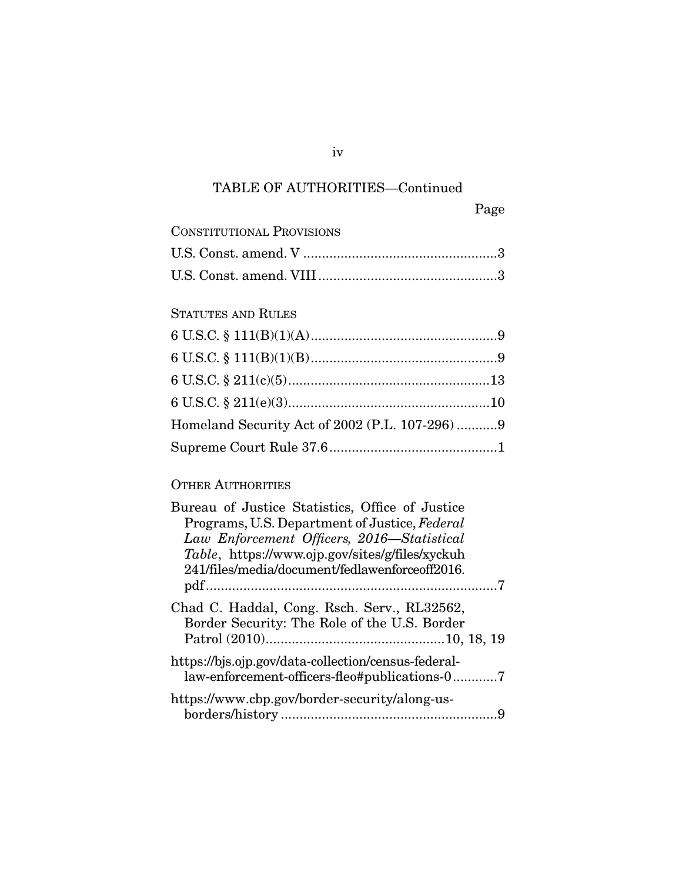# TABLE OF AUTHORITIES—Continued

| <b>CONSTITUTIONAL PROVISIONS</b> |  |
|----------------------------------|--|
|                                  |  |
|                                  |  |

### STATUTES AND RULES

| Homeland Security Act of 2002 (P.L. 107-296) 9 |  |
|------------------------------------------------|--|
|                                                |  |

### OTHER AUTHORITIES

iv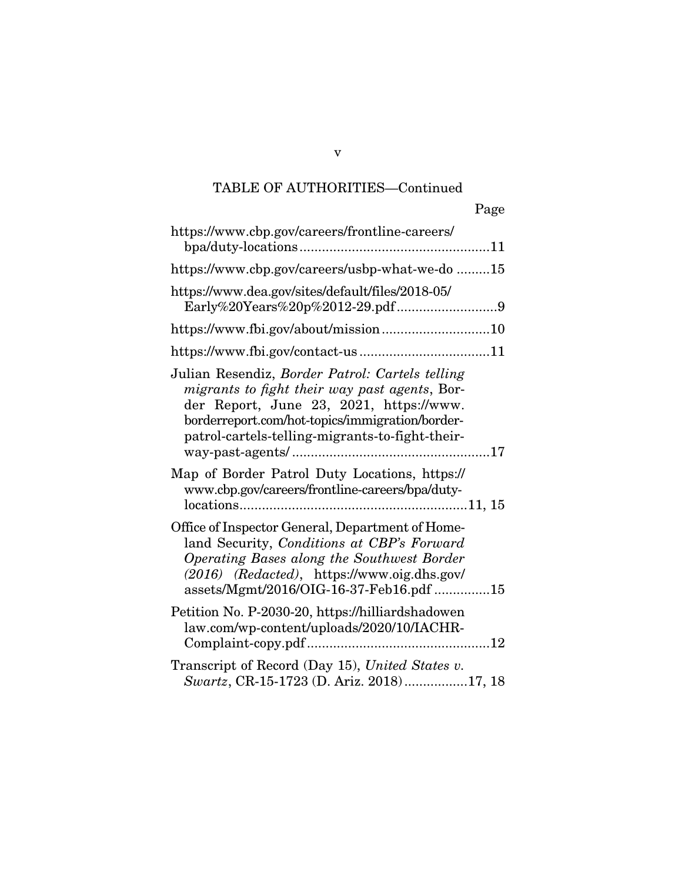# TABLE OF AUTHORITIES—Continued

| Page                                                                                                                                                                                                                                              |
|---------------------------------------------------------------------------------------------------------------------------------------------------------------------------------------------------------------------------------------------------|
| https://www.cbp.gov/careers/frontline-careers/                                                                                                                                                                                                    |
| https://www.cbp.gov/careers/usbp-what-we-do 15                                                                                                                                                                                                    |
| https://www.dea.gov/sites/default/files/2018-05/                                                                                                                                                                                                  |
| https://www.fbi.gov/about/mission10                                                                                                                                                                                                               |
|                                                                                                                                                                                                                                                   |
| Julian Resendiz, Border Patrol: Cartels telling<br>migrants to fight their way past agents, Bor-<br>der Report, June 23, 2021, https://www.<br>borderreport.com/hot-topics/immigration/border-<br>patrol-cartels-telling-migrants-to-fight-their- |
| Map of Border Patrol Duty Locations, https://<br>www.cbp.gov/careers/frontline-careers/bpa/duty-                                                                                                                                                  |
| Office of Inspector General, Department of Home-<br>land Security, Conditions at CBP's Forward<br>Operating Bases along the Southwest Border<br>$(2016)$ (Redacted), https://www.oig.dhs.gov/<br>assets/Mgmt/2016/OIG-16-37-Feb16.pdf 15          |
| Petition No. P-2030-20, https://hilliardshadowen<br>law.com/wp-content/uploads/2020/10/IACHR-                                                                                                                                                     |
| Transcript of Record (Day 15), United States v.<br>Swartz, CR-15-1723 (D. Ariz. 2018)17, 18                                                                                                                                                       |

v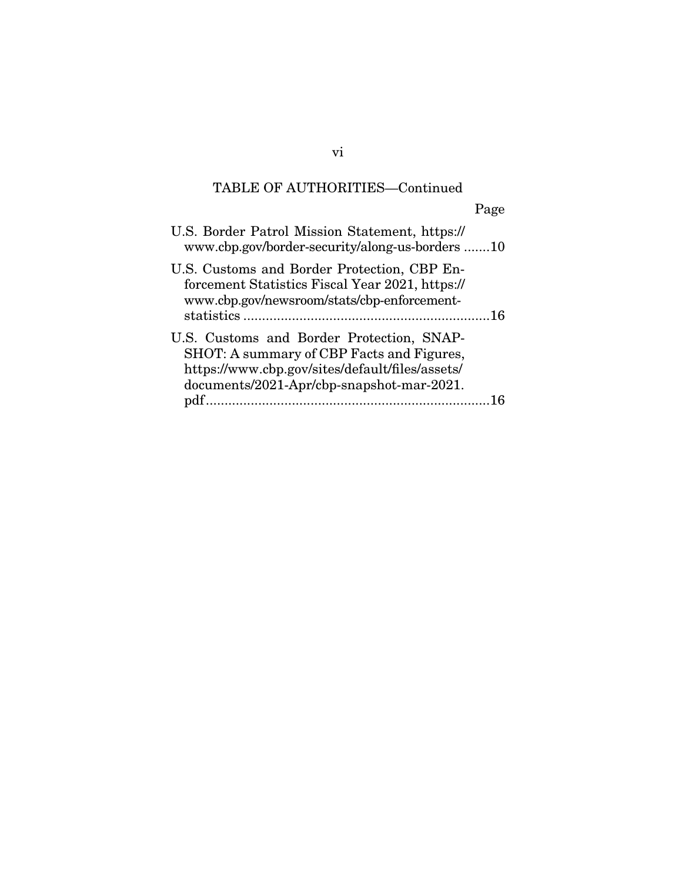# TABLE OF AUTHORITIES—Continued

| ag<br>c |
|---------|
|         |

| U.S. Border Patrol Mission Statement, https://<br>www.cbp.gov/border-security/along-us-borders10                                              |  |
|-----------------------------------------------------------------------------------------------------------------------------------------------|--|
| U.S. Customs and Border Protection, CBP En-<br>forcement Statistics Fiscal Year 2021, https://<br>www.cbp.gov/newsroom/stats/cbp-enforcement- |  |
|                                                                                                                                               |  |
| U.S. Customs and Border Protection, SNAP-                                                                                                     |  |
| SHOT: A summary of CBP Facts and Figures,                                                                                                     |  |
| https://www.cbp.gov/sites/default/files/assets/                                                                                               |  |
| documents/2021-Apr/cbp-snapshot-mar-2021.                                                                                                     |  |
| pdf.                                                                                                                                          |  |

vi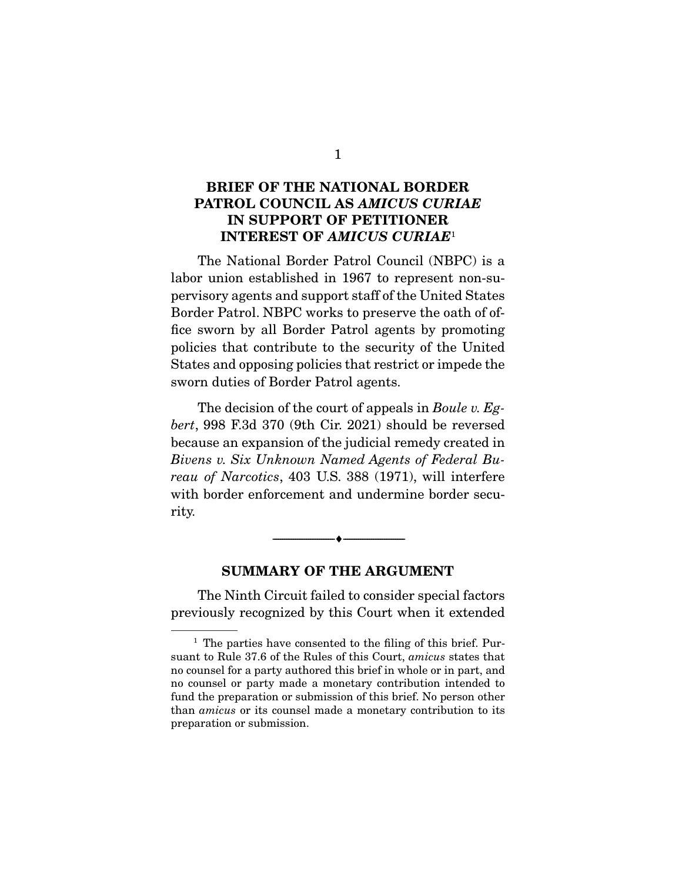### **BRIEF OF THE NATIONAL BORDER PATROL COUNCIL AS** *AMICUS CURIAE*  **IN SUPPORT OF PETITIONER INTEREST OF** *AMICUS CURIAE*<sup>1</sup>

 The National Border Patrol Council (NBPC) is a labor union established in 1967 to represent non-supervisory agents and support staff of the United States Border Patrol. NBPC works to preserve the oath of office sworn by all Border Patrol agents by promoting policies that contribute to the security of the United States and opposing policies that restrict or impede the sworn duties of Border Patrol agents.

 The decision of the court of appeals in *Boule v. Egbert*, 998 F.3d 370 (9th Cir. 2021) should be reversed because an expansion of the judicial remedy created in *Bivens v. Six Unknown Named Agents of Federal Bureau of Narcotics*, 403 U.S. 388 (1971), will interfere with border enforcement and undermine border security.

#### **SUMMARY OF THE ARGUMENT**

 $\overbrace{\hspace{2.5cm}}^{\bullet}$   $\overbrace{\hspace{2.5cm}}^{\bullet}$ 

 The Ninth Circuit failed to consider special factors previously recognized by this Court when it extended

 $<sup>1</sup>$  The parties have consented to the filing of this brief. Pur-</sup> suant to Rule 37.6 of the Rules of this Court, *amicus* states that no counsel for a party authored this brief in whole or in part, and no counsel or party made a monetary contribution intended to fund the preparation or submission of this brief. No person other than *amicus* or its counsel made a monetary contribution to its preparation or submission.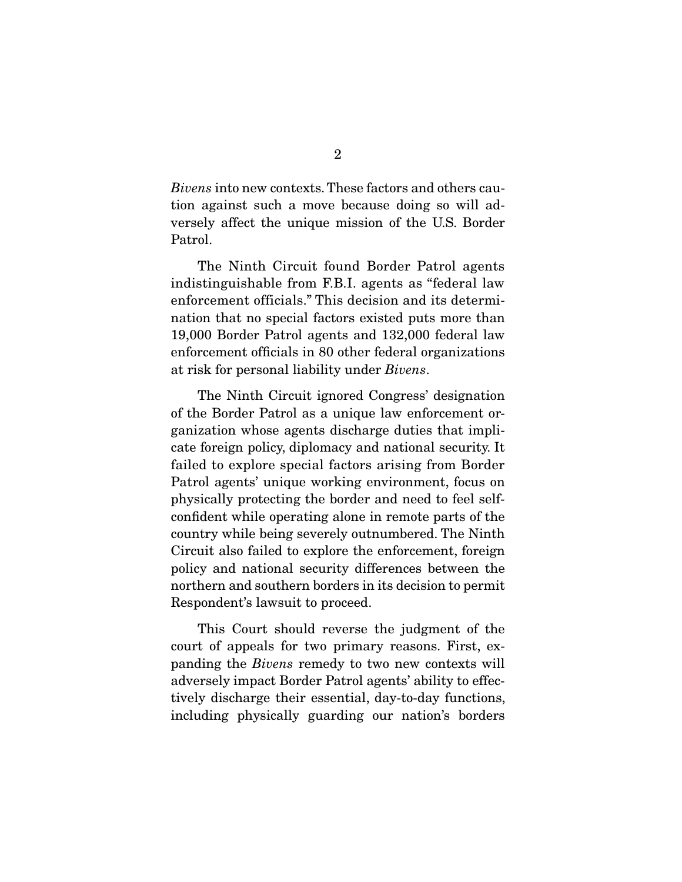*Bivens* into new contexts. These factors and others caution against such a move because doing so will adversely affect the unique mission of the U.S. Border Patrol.

 The Ninth Circuit found Border Patrol agents indistinguishable from F.B.I. agents as "federal law enforcement officials." This decision and its determination that no special factors existed puts more than 19,000 Border Patrol agents and 132,000 federal law enforcement officials in 80 other federal organizations at risk for personal liability under *Bivens*.

 The Ninth Circuit ignored Congress' designation of the Border Patrol as a unique law enforcement organization whose agents discharge duties that implicate foreign policy, diplomacy and national security. It failed to explore special factors arising from Border Patrol agents' unique working environment, focus on physically protecting the border and need to feel selfconfident while operating alone in remote parts of the country while being severely outnumbered. The Ninth Circuit also failed to explore the enforcement, foreign policy and national security differences between the northern and southern borders in its decision to permit Respondent's lawsuit to proceed.

 This Court should reverse the judgment of the court of appeals for two primary reasons. First, expanding the *Bivens* remedy to two new contexts will adversely impact Border Patrol agents' ability to effectively discharge their essential, day-to-day functions, including physically guarding our nation's borders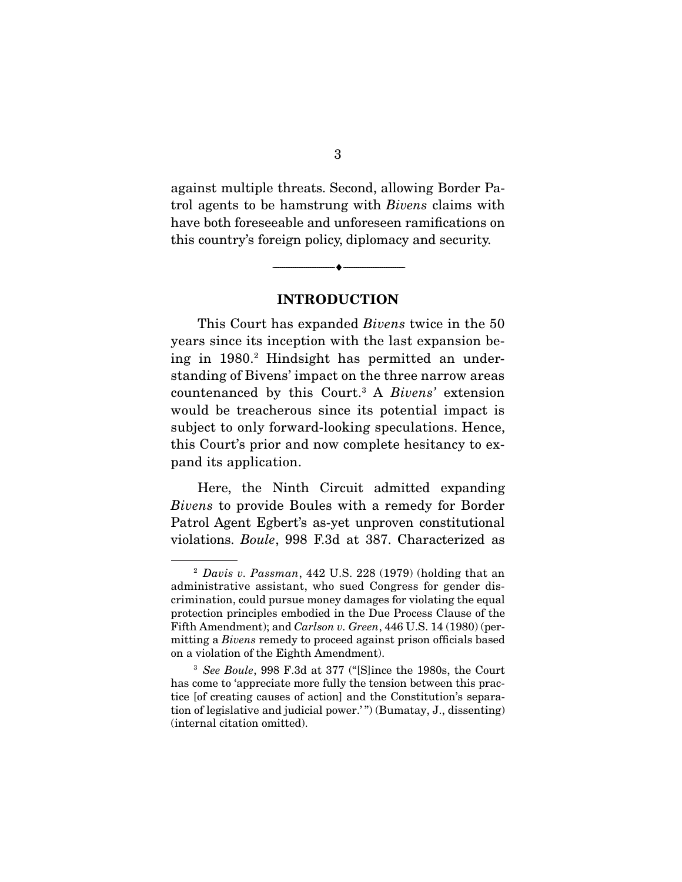against multiple threats. Second, allowing Border Patrol agents to be hamstrung with *Bivens* claims with have both foreseeable and unforeseen ramifications on this country's foreign policy, diplomacy and security.

**INTRODUCTION** 

--------------------------------- ♦ ---------------------------------

 This Court has expanded *Bivens* twice in the 50 years since its inception with the last expansion being in 1980.2 Hindsight has permitted an understanding of Bivens' impact on the three narrow areas countenanced by this Court.3 A *Bivens'* extension would be treacherous since its potential impact is subject to only forward-looking speculations. Hence, this Court's prior and now complete hesitancy to expand its application.

 Here, the Ninth Circuit admitted expanding *Bivens* to provide Boules with a remedy for Border Patrol Agent Egbert's as-yet unproven constitutional violations. *Boule*, 998 F.3d at 387. Characterized as

<sup>2</sup> *Davis v. Passman*, 442 U.S. 228 (1979) (holding that an administrative assistant, who sued Congress for gender discrimination, could pursue money damages for violating the equal protection principles embodied in the Due Process Clause of the Fifth Amendment); and *Carlson v. Green*, 446 U.S. 14 (1980) (permitting a *Bivens* remedy to proceed against prison officials based on a violation of the Eighth Amendment).

<sup>3</sup> *See Boule*, 998 F.3d at 377 ("[S]ince the 1980s, the Court has come to 'appreciate more fully the tension between this practice [of creating causes of action] and the Constitution's separation of legislative and judicial power.' ") (Bumatay, J., dissenting) (internal citation omitted).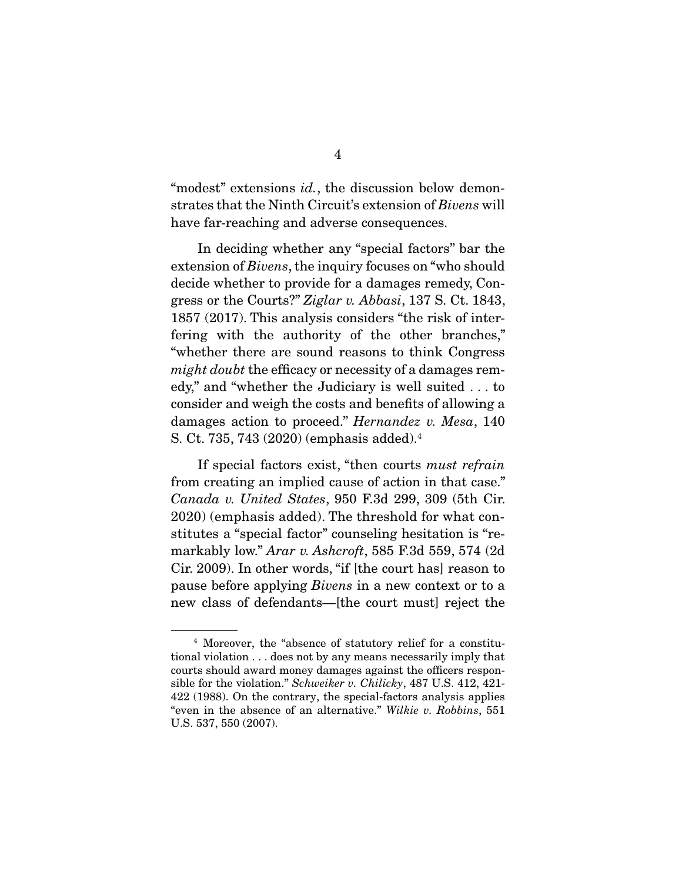"modest" extensions *id.*, the discussion below demonstrates that the Ninth Circuit's extension of *Bivens* will have far-reaching and adverse consequences.

 In deciding whether any "special factors" bar the extension of *Bivens*, the inquiry focuses on "who should decide whether to provide for a damages remedy, Congress or the Courts?" *Ziglar v. Abbasi*, 137 S. Ct. 1843, 1857 (2017). This analysis considers "the risk of interfering with the authority of the other branches," "whether there are sound reasons to think Congress *might doubt* the efficacy or necessity of a damages remedy," and "whether the Judiciary is well suited . . . to consider and weigh the costs and benefits of allowing a damages action to proceed." *Hernandez v. Mesa*, 140 S. Ct. 735, 743 (2020) (emphasis added).4

 If special factors exist, "then courts *must refrain*  from creating an implied cause of action in that case." *Canada v. United States*, 950 F.3d 299, 309 (5th Cir. 2020) (emphasis added). The threshold for what constitutes a "special factor" counseling hesitation is "remarkably low." *Arar v. Ashcroft*, 585 F.3d 559, 574 (2d Cir. 2009). In other words, "if [the court has] reason to pause before applying *Bivens* in a new context or to a new class of defendants—[the court must] reject the

<sup>4</sup> Moreover, the "absence of statutory relief for a constitutional violation . . . does not by any means necessarily imply that courts should award money damages against the officers responsible for the violation." *Schweiker v. Chilicky*, 487 U.S. 412, 421- 422 (1988). On the contrary, the special-factors analysis applies "even in the absence of an alternative." *Wilkie v. Robbins*, 551 U.S. 537, 550 (2007).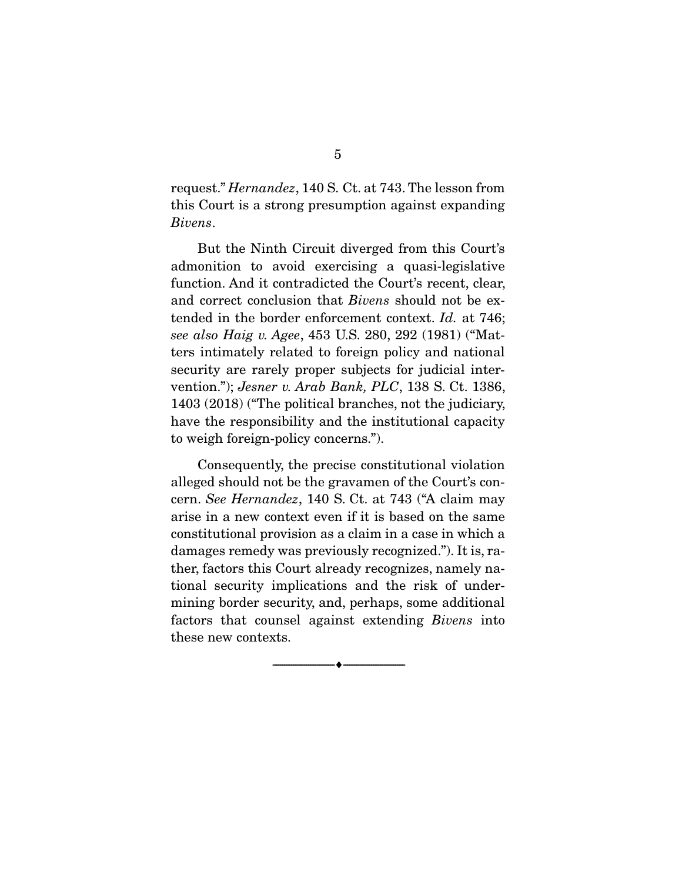request." *Hernandez*, 140 S. Ct. at 743. The lesson from this Court is a strong presumption against expanding *Bivens*.

 But the Ninth Circuit diverged from this Court's admonition to avoid exercising a quasi-legislative function. And it contradicted the Court's recent, clear, and correct conclusion that *Bivens* should not be extended in the border enforcement context. *Id.* at 746; *see also Haig v. Agee*, 453 U.S. 280, 292 (1981) ("Matters intimately related to foreign policy and national security are rarely proper subjects for judicial intervention."); *Jesner v. Arab Bank, PLC*, 138 S. Ct. 1386, 1403 (2018) ("The political branches, not the judiciary, have the responsibility and the institutional capacity to weigh foreign-policy concerns.").

 Consequently, the precise constitutional violation alleged should not be the gravamen of the Court's concern. *See Hernandez*, 140 S. Ct. at 743 ("A claim may arise in a new context even if it is based on the same constitutional provision as a claim in a case in which a damages remedy was previously recognized."). It is, rather, factors this Court already recognizes, namely national security implications and the risk of undermining border security, and, perhaps, some additional factors that counsel against extending *Bivens* into these new contexts.

--------------------------------- ♦ ---------------------------------

5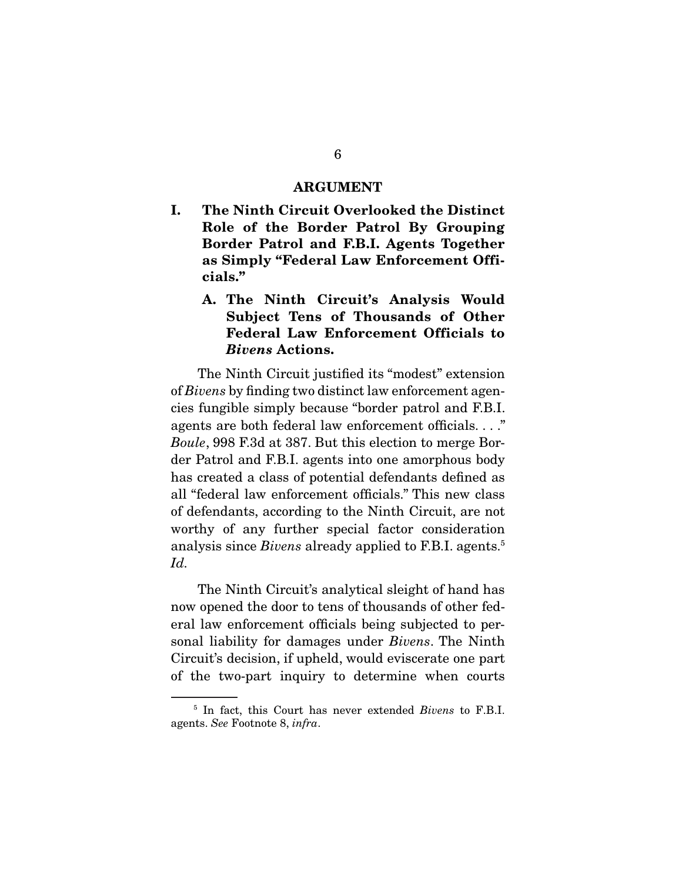#### **ARGUMENT**

**I. The Ninth Circuit Overlooked the Distinct Role of the Border Patrol By Grouping Border Patrol and F.B.I. Agents Together as Simply "Federal Law Enforcement Officials."** 

### **A. The Ninth Circuit's Analysis Would Subject Tens of Thousands of Other Federal Law Enforcement Officials to**  *Bivens* **Actions.**

 The Ninth Circuit justified its "modest" extension of *Bivens* by finding two distinct law enforcement agencies fungible simply because "border patrol and F.B.I. agents are both federal law enforcement officials. . . ." *Boule*, 998 F.3d at 387. But this election to merge Border Patrol and F.B.I. agents into one amorphous body has created a class of potential defendants defined as all "federal law enforcement officials." This new class of defendants, according to the Ninth Circuit, are not worthy of any further special factor consideration analysis since *Bivens* already applied to F.B.I. agents.<sup>5</sup> *Id.*

 The Ninth Circuit's analytical sleight of hand has now opened the door to tens of thousands of other federal law enforcement officials being subjected to personal liability for damages under *Bivens*. The Ninth Circuit's decision, if upheld, would eviscerate one part of the two-part inquiry to determine when courts

<sup>5</sup> In fact, this Court has never extended *Bivens* to F.B.I. agents. *See* Footnote 8, *infra*.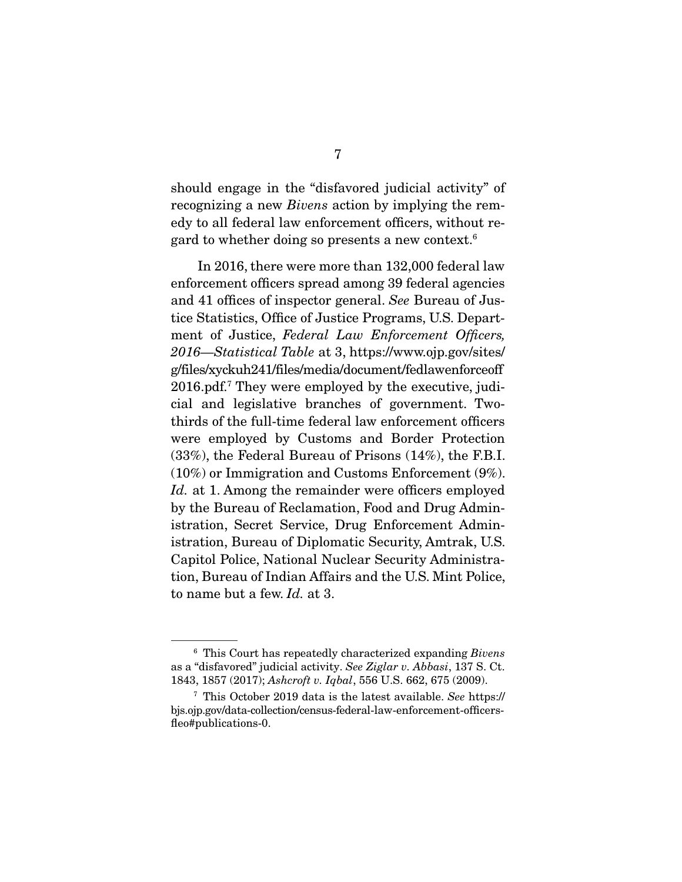should engage in the "disfavored judicial activity" of recognizing a new *Bivens* action by implying the remedy to all federal law enforcement officers, without regard to whether doing so presents a new context.6

 In 2016, there were more than 132,000 federal law enforcement officers spread among 39 federal agencies and 41 offices of inspector general. *See* Bureau of Justice Statistics, Office of Justice Programs, U.S. Department of Justice, *Federal Law Enforcement Officers, 2016—Statistical Table* at 3, https://www.ojp.gov/sites/ g/files/xyckuh241/files/media/document/fedlawenforceoff 2016.pdf.7 They were employed by the executive, judicial and legislative branches of government. Twothirds of the full-time federal law enforcement officers were employed by Customs and Border Protection (33%), the Federal Bureau of Prisons (14%), the F.B.I. (10%) or Immigration and Customs Enforcement (9%). *Id.* at 1. Among the remainder were officers employed by the Bureau of Reclamation, Food and Drug Administration, Secret Service, Drug Enforcement Administration, Bureau of Diplomatic Security, Amtrak, U.S. Capitol Police, National Nuclear Security Administration, Bureau of Indian Affairs and the U.S. Mint Police, to name but a few. *Id.* at 3.

<sup>6</sup> This Court has repeatedly characterized expanding *Bivens*  as a "disfavored" judicial activity. *See Ziglar v. Abbasi*, 137 S. Ct. 1843, 1857 (2017); *Ashcroft v. Iqbal*, 556 U.S. 662, 675 (2009).

<sup>7</sup> This October 2019 data is the latest available. *See* https:// bjs.ojp.gov/data-collection/census-federal-law-enforcement-officersfleo#publications-0.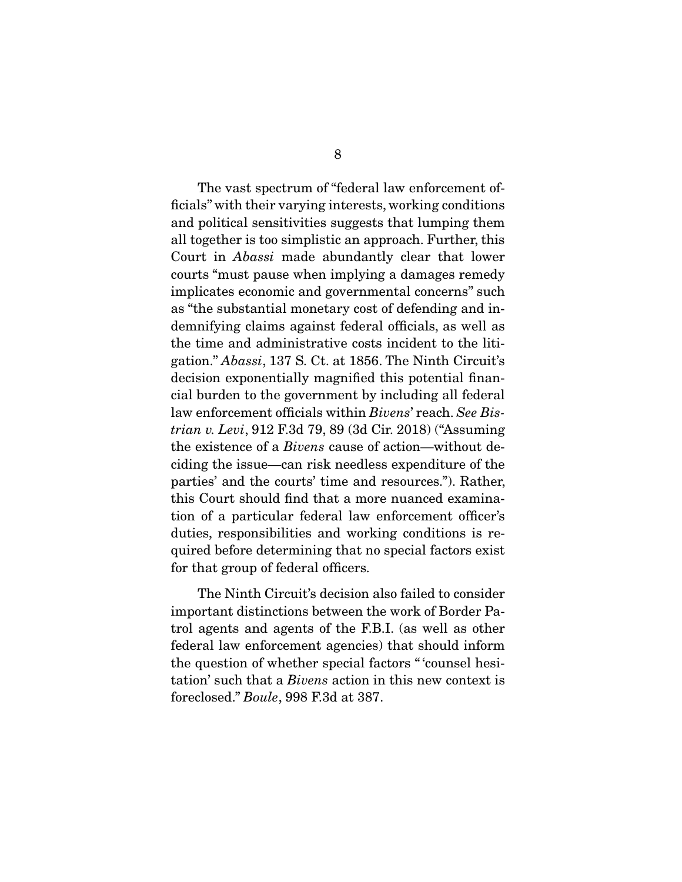The vast spectrum of "federal law enforcement officials" with their varying interests, working conditions and political sensitivities suggests that lumping them all together is too simplistic an approach. Further, this Court in *Abassi* made abundantly clear that lower courts "must pause when implying a damages remedy implicates economic and governmental concerns" such as "the substantial monetary cost of defending and indemnifying claims against federal officials, as well as the time and administrative costs incident to the litigation." *Abassi*, 137 S. Ct. at 1856. The Ninth Circuit's decision exponentially magnified this potential financial burden to the government by including all federal law enforcement officials within *Bivens*' reach. *See Bistrian v. Levi*, 912 F.3d 79, 89 (3d Cir. 2018) ("Assuming the existence of a *Bivens* cause of action—without deciding the issue—can risk needless expenditure of the parties' and the courts' time and resources."). Rather, this Court should find that a more nuanced examination of a particular federal law enforcement officer's duties, responsibilities and working conditions is required before determining that no special factors exist for that group of federal officers.

 The Ninth Circuit's decision also failed to consider important distinctions between the work of Border Patrol agents and agents of the F.B.I. (as well as other federal law enforcement agencies) that should inform the question of whether special factors " 'counsel hesitation' such that a *Bivens* action in this new context is foreclosed." *Boule*, 998 F.3d at 387.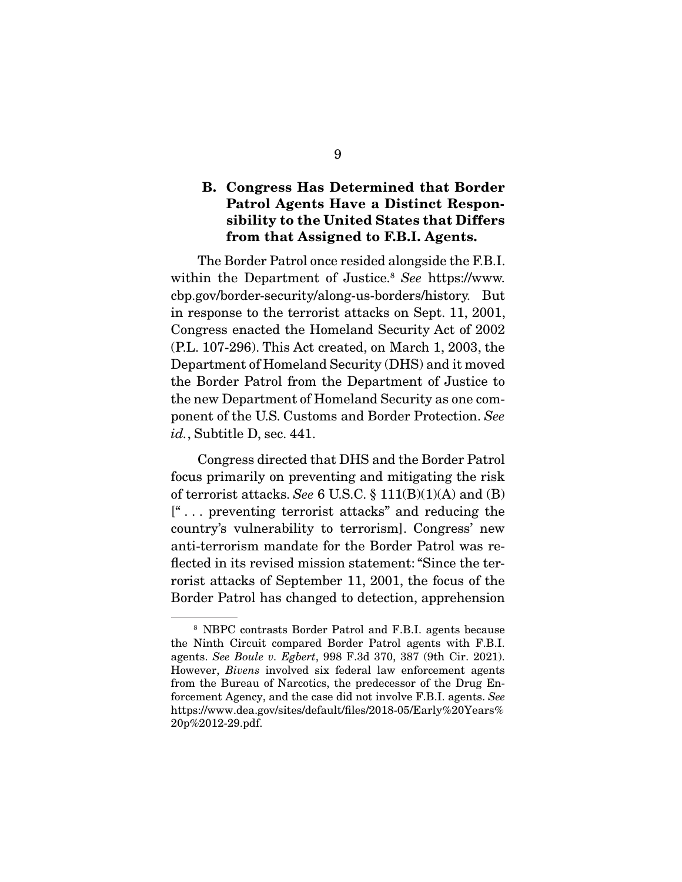### **B. Congress Has Determined that Border Patrol Agents Have a Distinct Responsibility to the United States that Differs from that Assigned to F.B.I. Agents.**

 The Border Patrol once resided alongside the F.B.I. within the Department of Justice.8 *See* https://www. cbp.gov/border-security/along-us-borders/history. But in response to the terrorist attacks on Sept. 11, 2001, Congress enacted the Homeland Security Act of 2002 (P.L. 107-296). This Act created, on March 1, 2003, the Department of Homeland Security (DHS) and it moved the Border Patrol from the Department of Justice to the new Department of Homeland Security as one component of the U.S. Customs and Border Protection. *See id.*, Subtitle D, sec. 441.

 Congress directed that DHS and the Border Patrol focus primarily on preventing and mitigating the risk of terrorist attacks. *See* 6 U.S.C. § 111(B)(1)(A) and (B) [" . . . preventing terrorist attacks" and reducing the country's vulnerability to terrorism]. Congress' new anti-terrorism mandate for the Border Patrol was reflected in its revised mission statement: "Since the terrorist attacks of September 11, 2001, the focus of the Border Patrol has changed to detection, apprehension

<sup>8</sup> NBPC contrasts Border Patrol and F.B.I. agents because the Ninth Circuit compared Border Patrol agents with F.B.I. agents. *See Boule v. Egbert*, 998 F.3d 370, 387 (9th Cir. 2021). However, *Bivens* involved six federal law enforcement agents from the Bureau of Narcotics, the predecessor of the Drug Enforcement Agency, and the case did not involve F.B.I. agents. *See* https://www.dea.gov/sites/default/files/2018-05/Early%20Years% 20p%2012-29.pdf.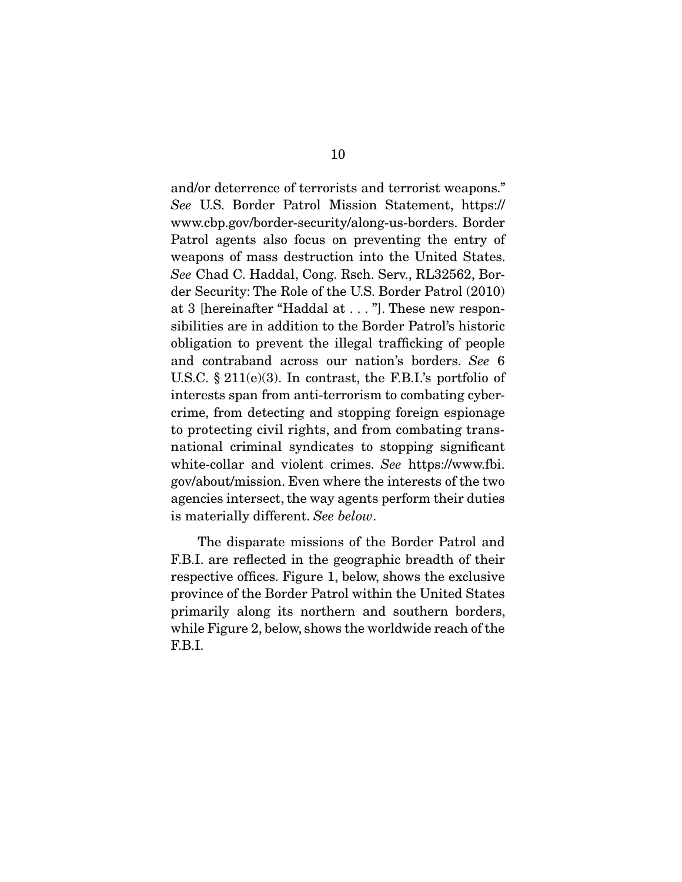and/or deterrence of terrorists and terrorist weapons." *See* U.S. Border Patrol Mission Statement, https:// www.cbp.gov/border-security/along-us-borders. Border Patrol agents also focus on preventing the entry of weapons of mass destruction into the United States. *See* Chad C. Haddal, Cong. Rsch. Serv., RL32562, Border Security: The Role of the U.S. Border Patrol (2010) at 3 [hereinafter "Haddal at . . . "]. These new responsibilities are in addition to the Border Patrol's historic obligation to prevent the illegal trafficking of people and contraband across our nation's borders. *See* 6 U.S.C.  $\S 211(e)(3)$ . In contrast, the F.B.I.'s portfolio of interests span from anti-terrorism to combating cybercrime, from detecting and stopping foreign espionage to protecting civil rights, and from combating transnational criminal syndicates to stopping significant white-collar and violent crimes. *See* https://www.fbi. gov/about/mission. Even where the interests of the two agencies intersect, the way agents perform their duties is materially different. *See below*.

 The disparate missions of the Border Patrol and F.B.I. are reflected in the geographic breadth of their respective offices. Figure 1, below, shows the exclusive province of the Border Patrol within the United States primarily along its northern and southern borders, while Figure 2, below, shows the worldwide reach of the F.B.I.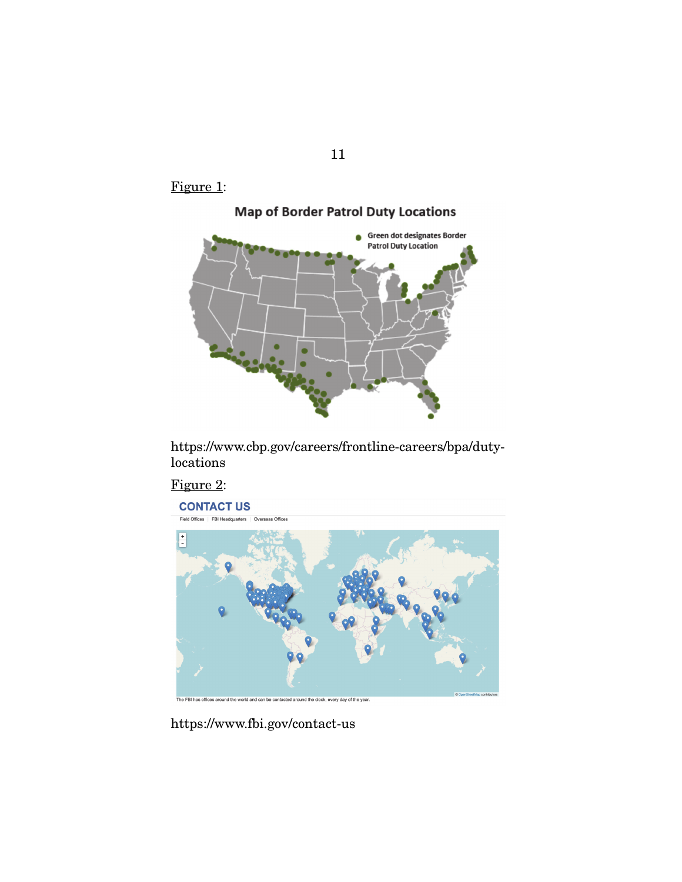



https://www.cbp.gov/careers/frontline-careers/bpa/dutylocations



https://www.fbi.gov/contact-us

11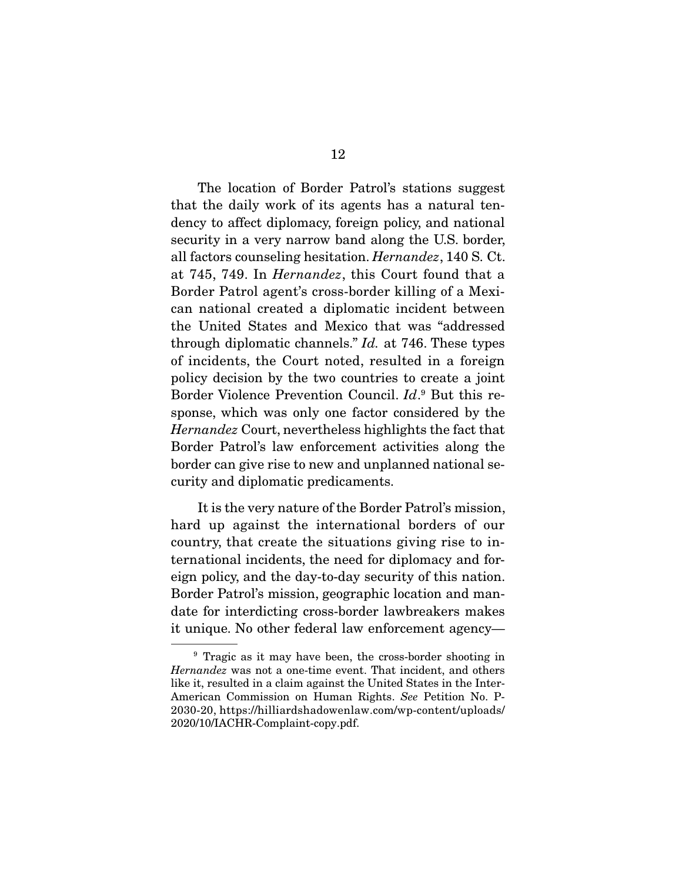The location of Border Patrol's stations suggest that the daily work of its agents has a natural tendency to affect diplomacy, foreign policy, and national security in a very narrow band along the U.S. border, all factors counseling hesitation. *Hernandez*, 140 S. Ct. at 745, 749. In *Hernandez*, this Court found that a Border Patrol agent's cross-border killing of a Mexican national created a diplomatic incident between the United States and Mexico that was "addressed through diplomatic channels." *Id.* at 746. These types of incidents, the Court noted, resulted in a foreign policy decision by the two countries to create a joint Border Violence Prevention Council. *Id*. 9 But this response, which was only one factor considered by the *Hernandez* Court, nevertheless highlights the fact that Border Patrol's law enforcement activities along the border can give rise to new and unplanned national security and diplomatic predicaments.

 It is the very nature of the Border Patrol's mission, hard up against the international borders of our country, that create the situations giving rise to international incidents, the need for diplomacy and foreign policy, and the day-to-day security of this nation. Border Patrol's mission, geographic location and mandate for interdicting cross-border lawbreakers makes it unique. No other federal law enforcement agency—

<sup>&</sup>lt;sup>9</sup> Tragic as it may have been, the cross-border shooting in *Hernandez* was not a one-time event. That incident, and others like it, resulted in a claim against the United States in the Inter-American Commission on Human Rights. *See* Petition No. P-2030-20, https://hilliardshadowenlaw.com/wp-content/uploads/ 2020/10/IACHR-Complaint-copy.pdf.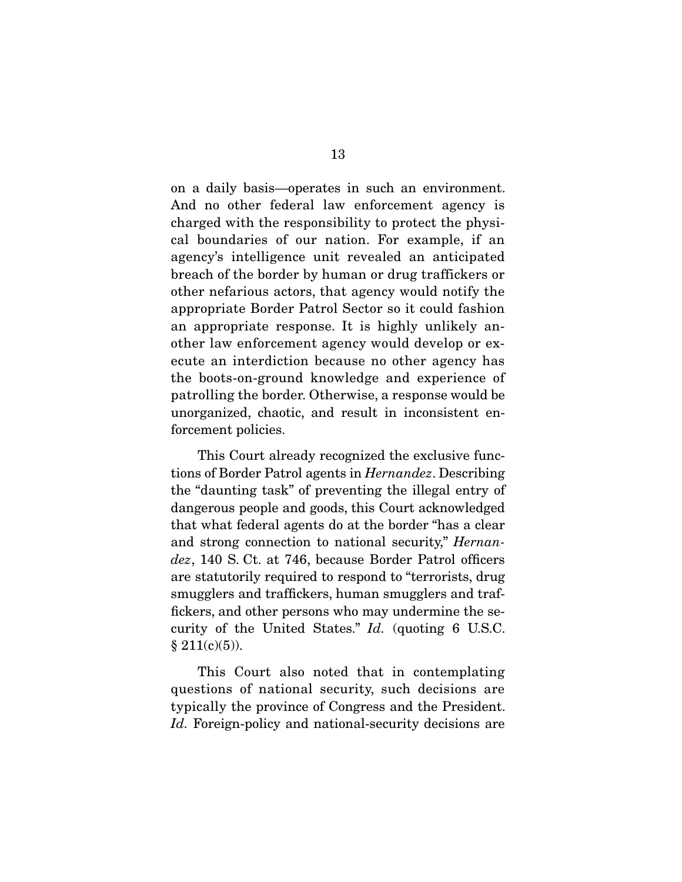on a daily basis—operates in such an environment. And no other federal law enforcement agency is charged with the responsibility to protect the physical boundaries of our nation. For example, if an agency's intelligence unit revealed an anticipated breach of the border by human or drug traffickers or other nefarious actors, that agency would notify the appropriate Border Patrol Sector so it could fashion an appropriate response. It is highly unlikely another law enforcement agency would develop or execute an interdiction because no other agency has the boots-on-ground knowledge and experience of patrolling the border. Otherwise, a response would be unorganized, chaotic, and result in inconsistent enforcement policies.

 This Court already recognized the exclusive functions of Border Patrol agents in *Hernandez*. Describing the "daunting task" of preventing the illegal entry of dangerous people and goods, this Court acknowledged that what federal agents do at the border "has a clear and strong connection to national security," *Hernandez*, 140 S. Ct. at 746, because Border Patrol officers are statutorily required to respond to "terrorists, drug smugglers and traffickers, human smugglers and traffickers, and other persons who may undermine the security of the United States." *Id.* (quoting 6 U.S.C.  $§ 211(c)(5)).$ 

 This Court also noted that in contemplating questions of national security, such decisions are typically the province of Congress and the President. *Id.* Foreign-policy and national-security decisions are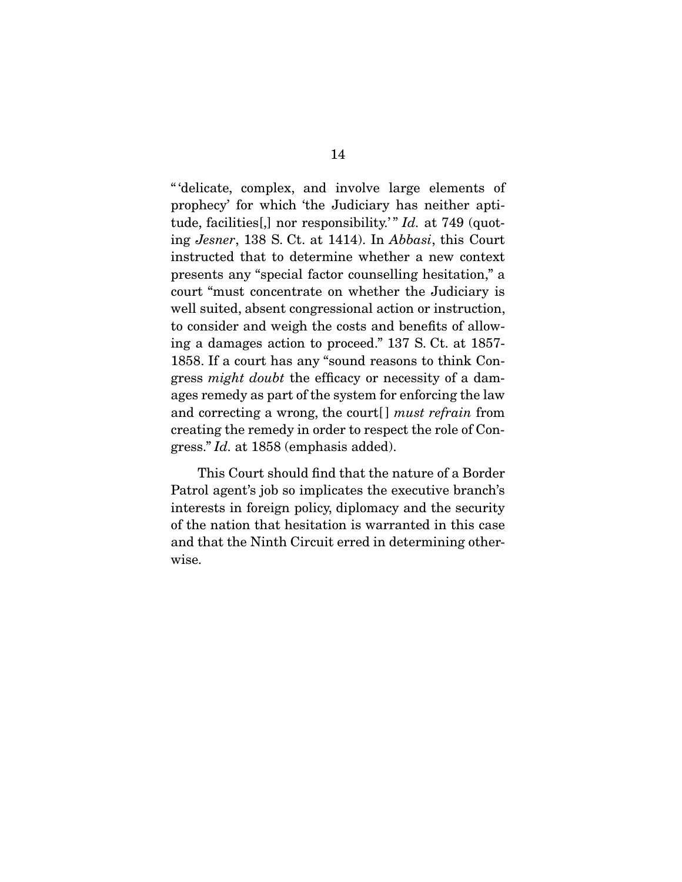" 'delicate, complex, and involve large elements of prophecy' for which 'the Judiciary has neither aptitude, facilities[,] nor responsibility.<sup>"</sup> *Id.* at 749 (quoting *Jesner*, 138 S. Ct. at 1414). In *Abbasi*, this Court instructed that to determine whether a new context presents any "special factor counselling hesitation," a court "must concentrate on whether the Judiciary is well suited, absent congressional action or instruction, to consider and weigh the costs and benefits of allowing a damages action to proceed." 137 S. Ct. at 1857- 1858. If a court has any "sound reasons to think Congress *might doubt* the efficacy or necessity of a damages remedy as part of the system for enforcing the law and correcting a wrong, the court[ ] *must refrain* from creating the remedy in order to respect the role of Congress." *Id.* at 1858 (emphasis added).

 This Court should find that the nature of a Border Patrol agent's job so implicates the executive branch's interests in foreign policy, diplomacy and the security of the nation that hesitation is warranted in this case and that the Ninth Circuit erred in determining otherwise.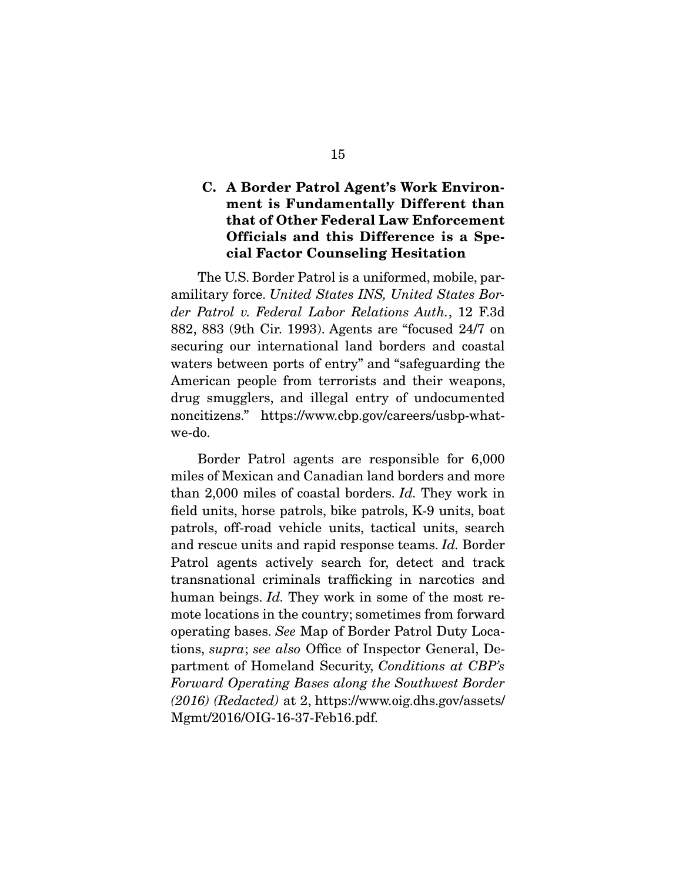### **C. A Border Patrol Agent's Work Environment is Fundamentally Different than that of Other Federal Law Enforcement Officials and this Difference is a Special Factor Counseling Hesitation**

 The U.S. Border Patrol is a uniformed, mobile, paramilitary force. *United States INS, United States Border Patrol v. Federal Labor Relations Auth.*, 12 F.3d 882, 883 (9th Cir. 1993). Agents are "focused 24/7 on securing our international land borders and coastal waters between ports of entry" and "safeguarding the American people from terrorists and their weapons, drug smugglers, and illegal entry of undocumented noncitizens." https://www.cbp.gov/careers/usbp-whatwe-do.

 Border Patrol agents are responsible for 6,000 miles of Mexican and Canadian land borders and more than 2,000 miles of coastal borders. *Id.* They work in field units, horse patrols, bike patrols, K-9 units, boat patrols, off-road vehicle units, tactical units, search and rescue units and rapid response teams. *Id.* Border Patrol agents actively search for, detect and track transnational criminals trafficking in narcotics and human beings. *Id.* They work in some of the most remote locations in the country; sometimes from forward operating bases. *See* Map of Border Patrol Duty Locations, *supra*; *see also* Office of Inspector General, Department of Homeland Security, *Conditions at CBP's Forward Operating Bases along the Southwest Border (2016) (Redacted)* at 2, https://www.oig.dhs.gov/assets/ Mgmt/2016/OIG-16-37-Feb16.pdf.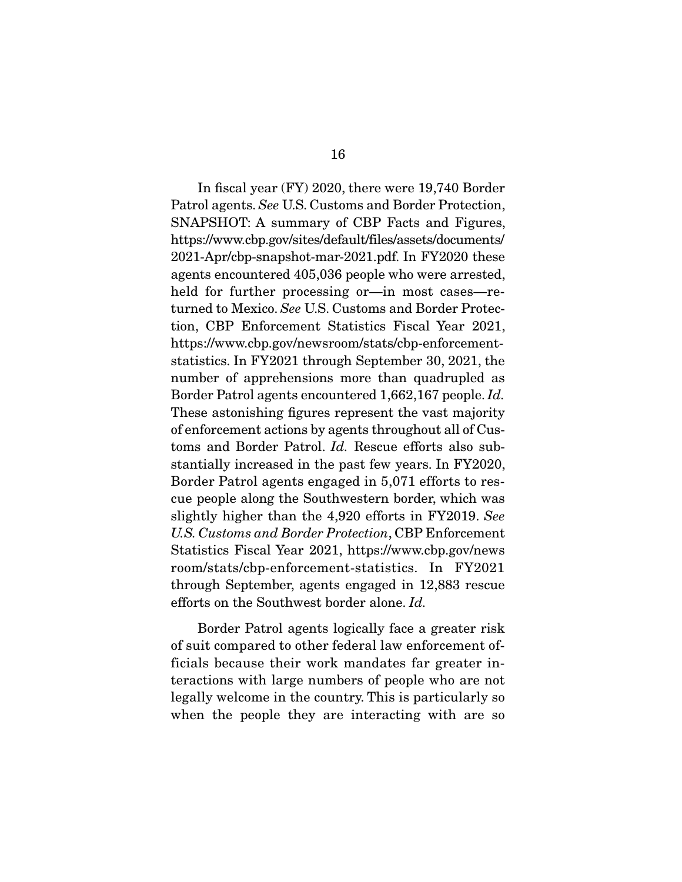In fiscal year (FY) 2020, there were 19,740 Border Patrol agents. *See* U.S. Customs and Border Protection, SNAPSHOT: A summary of CBP Facts and Figures, https://www.cbp.gov/sites/default/files/assets/documents/ 2021-Apr/cbp-snapshot-mar-2021.pdf. In FY2020 these agents encountered 405,036 people who were arrested, held for further processing or—in most cases—returned to Mexico. *See* U.S. Customs and Border Protection, CBP Enforcement Statistics Fiscal Year 2021, https://www.cbp.gov/newsroom/stats/cbp-enforcementstatistics. In FY2021 through September 30, 2021, the number of apprehensions more than quadrupled as Border Patrol agents encountered 1,662,167 people. *Id.* These astonishing figures represent the vast majority of enforcement actions by agents throughout all of Customs and Border Patrol. *Id.* Rescue efforts also substantially increased in the past few years. In FY2020, Border Patrol agents engaged in 5,071 efforts to rescue people along the Southwestern border, which was slightly higher than the 4,920 efforts in FY2019. *See U.S. Customs and Border Protection*, CBP Enforcement Statistics Fiscal Year 2021, https://www.cbp.gov/news room/stats/cbp-enforcement-statistics. In FY2021 through September, agents engaged in 12,883 rescue efforts on the Southwest border alone. *Id.*

 Border Patrol agents logically face a greater risk of suit compared to other federal law enforcement officials because their work mandates far greater interactions with large numbers of people who are not legally welcome in the country. This is particularly so when the people they are interacting with are so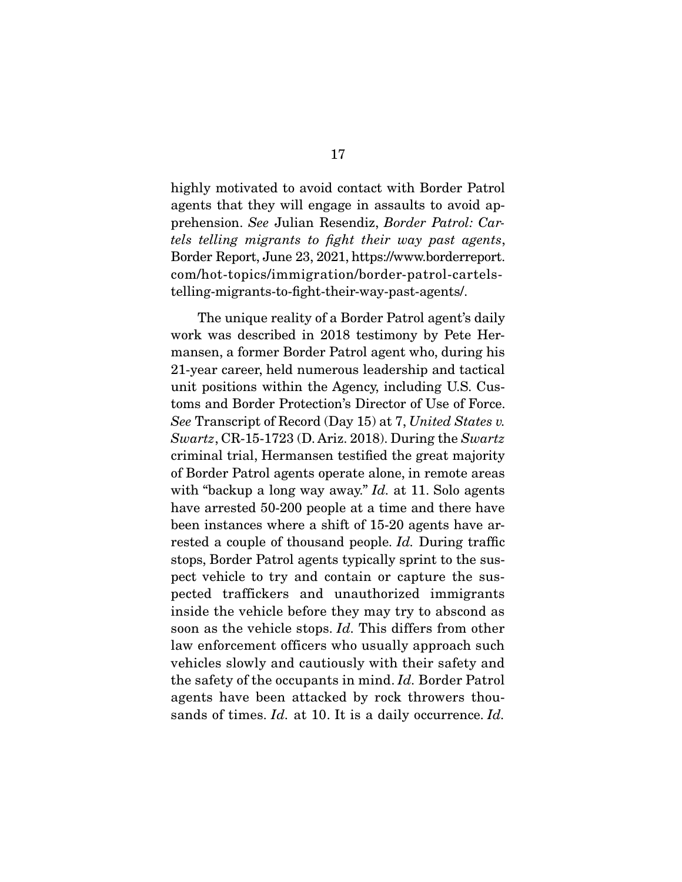highly motivated to avoid contact with Border Patrol agents that they will engage in assaults to avoid apprehension. *See* Julian Resendiz, *Border Patrol: Cartels telling migrants to fight their way past agents*, Border Report, June 23, 2021, https://www.borderreport. com/hot-topics/immigration/border-patrol-cartelstelling-migrants-to-fight-their-way-past-agents/.

 The unique reality of a Border Patrol agent's daily work was described in 2018 testimony by Pete Hermansen, a former Border Patrol agent who, during his 21-year career, held numerous leadership and tactical unit positions within the Agency, including U.S. Customs and Border Protection's Director of Use of Force. *See* Transcript of Record (Day 15) at 7, *United States v. Swartz*, CR-15-1723 (D. Ariz. 2018). During the *Swartz* criminal trial, Hermansen testified the great majority of Border Patrol agents operate alone, in remote areas with "backup a long way away." *Id.* at 11. Solo agents have arrested 50-200 people at a time and there have been instances where a shift of 15-20 agents have arrested a couple of thousand people. *Id.* During traffic stops, Border Patrol agents typically sprint to the suspect vehicle to try and contain or capture the suspected traffickers and unauthorized immigrants inside the vehicle before they may try to abscond as soon as the vehicle stops. *Id.* This differs from other law enforcement officers who usually approach such vehicles slowly and cautiously with their safety and the safety of the occupants in mind. *Id.* Border Patrol agents have been attacked by rock throwers thousands of times. *Id.* at 10. It is a daily occurrence. *Id.*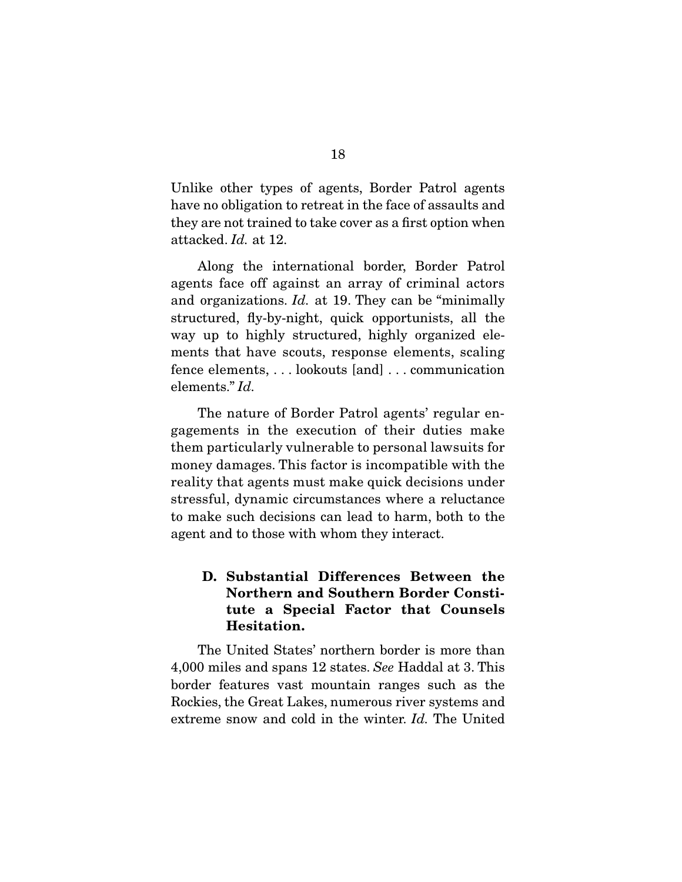Unlike other types of agents, Border Patrol agents have no obligation to retreat in the face of assaults and they are not trained to take cover as a first option when attacked. *Id.* at 12.

 Along the international border, Border Patrol agents face off against an array of criminal actors and organizations. *Id.* at 19. They can be "minimally structured, fly-by-night, quick opportunists, all the way up to highly structured, highly organized elements that have scouts, response elements, scaling fence elements, . . . lookouts [and] . . . communication elements." *Id.*

 The nature of Border Patrol agents' regular engagements in the execution of their duties make them particularly vulnerable to personal lawsuits for money damages. This factor is incompatible with the reality that agents must make quick decisions under stressful, dynamic circumstances where a reluctance to make such decisions can lead to harm, both to the agent and to those with whom they interact.

### **D. Substantial Differences Between the Northern and Southern Border Constitute a Special Factor that Counsels Hesitation.**

 The United States' northern border is more than 4,000 miles and spans 12 states. *See* Haddal at 3. This border features vast mountain ranges such as the Rockies, the Great Lakes, numerous river systems and extreme snow and cold in the winter. *Id.* The United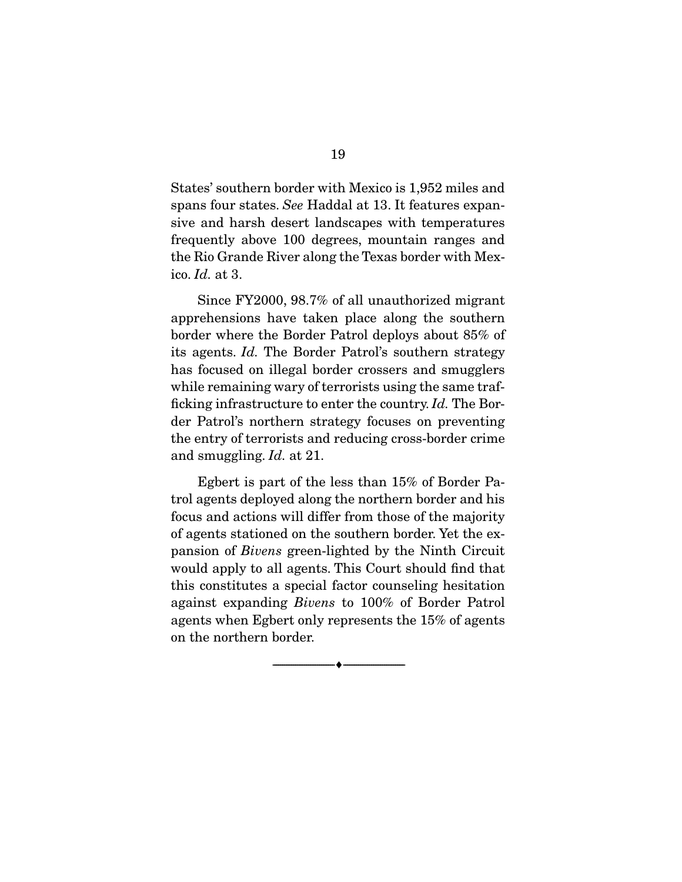States' southern border with Mexico is 1,952 miles and spans four states. *See* Haddal at 13. It features expansive and harsh desert landscapes with temperatures frequently above 100 degrees, mountain ranges and the Rio Grande River along the Texas border with Mexico. *Id.* at 3.

 Since FY2000, 98.7% of all unauthorized migrant apprehensions have taken place along the southern border where the Border Patrol deploys about 85% of its agents. *Id.* The Border Patrol's southern strategy has focused on illegal border crossers and smugglers while remaining wary of terrorists using the same trafficking infrastructure to enter the country. *Id.* The Border Patrol's northern strategy focuses on preventing the entry of terrorists and reducing cross-border crime and smuggling. *Id.* at 21.

 Egbert is part of the less than 15% of Border Patrol agents deployed along the northern border and his focus and actions will differ from those of the majority of agents stationed on the southern border. Yet the expansion of *Bivens* green-lighted by the Ninth Circuit would apply to all agents. This Court should find that this constitutes a special factor counseling hesitation against expanding *Bivens* to 100% of Border Patrol agents when Egbert only represents the 15% of agents on the northern border.

--------------------------------- ♦ ---------------------------------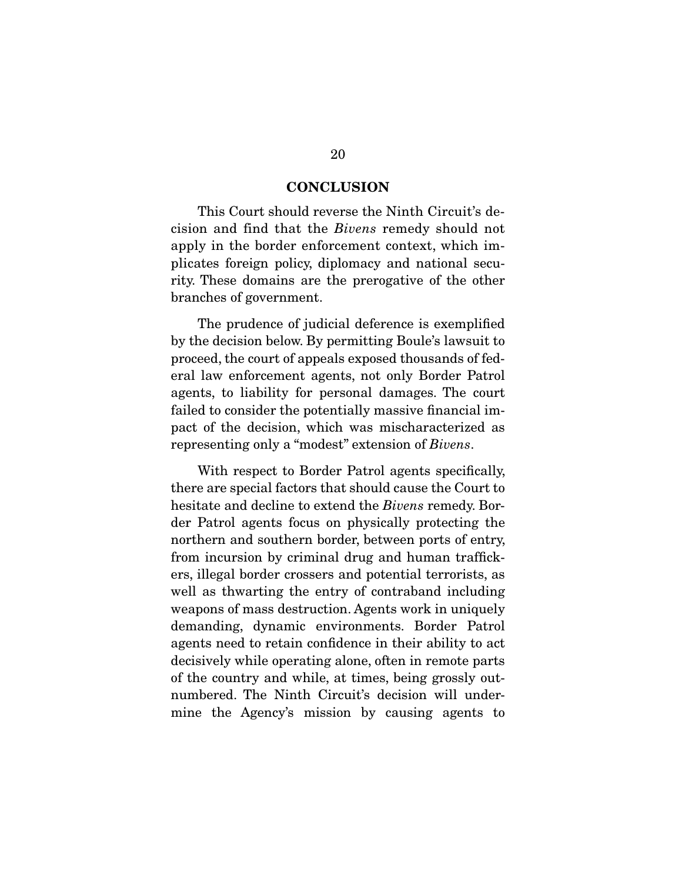#### **CONCLUSION**

 This Court should reverse the Ninth Circuit's decision and find that the *Bivens* remedy should not apply in the border enforcement context, which implicates foreign policy, diplomacy and national security. These domains are the prerogative of the other branches of government.

 The prudence of judicial deference is exemplified by the decision below. By permitting Boule's lawsuit to proceed, the court of appeals exposed thousands of federal law enforcement agents, not only Border Patrol agents, to liability for personal damages. The court failed to consider the potentially massive financial impact of the decision, which was mischaracterized as representing only a "modest" extension of *Bivens*.

 With respect to Border Patrol agents specifically, there are special factors that should cause the Court to hesitate and decline to extend the *Bivens* remedy. Border Patrol agents focus on physically protecting the northern and southern border, between ports of entry, from incursion by criminal drug and human traffickers, illegal border crossers and potential terrorists, as well as thwarting the entry of contraband including weapons of mass destruction. Agents work in uniquely demanding, dynamic environments. Border Patrol agents need to retain confidence in their ability to act decisively while operating alone, often in remote parts of the country and while, at times, being grossly outnumbered. The Ninth Circuit's decision will undermine the Agency's mission by causing agents to